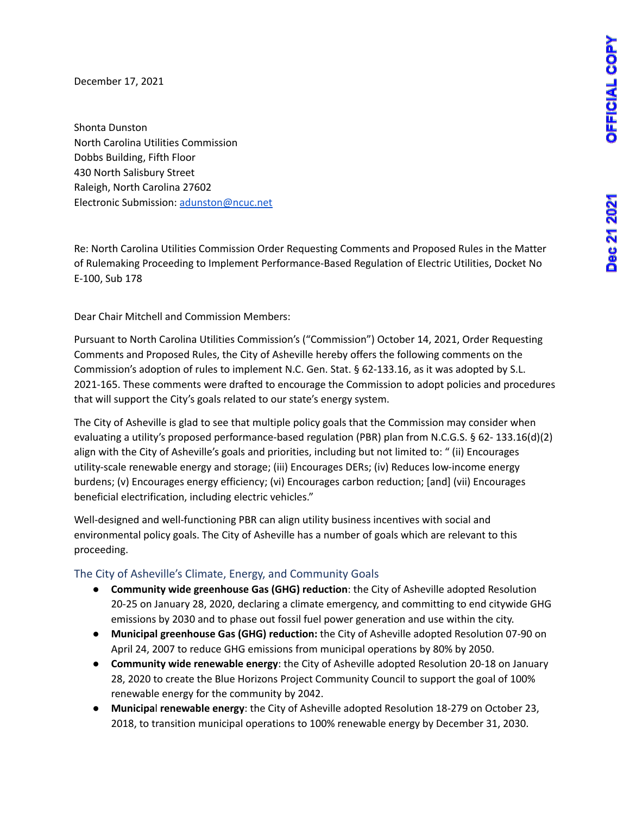Dec 21 2021

December 17, 2021

Shonta Dunston North Carolina Utilities Commission Dobbs Building, Fifth Floor 430 North Salisbury Street Raleigh, North Carolina 27602 Electronic Submission: [adunston@ncuc.net](mailto:adunston@ncuc.net)

Re: North Carolina Utilities Commission Order Requesting Comments and Proposed Rules in the Matter of Rulemaking Proceeding to Implement Performance-Based Regulation of Electric Utilities, Docket No E-100, Sub 178

Dear Chair Mitchell and Commission Members:

Pursuant to North Carolina Utilities Commission's ("Commission") October 14, 2021, Order Requesting Comments and Proposed Rules, the City of Asheville hereby offers the following comments on the Commission's adoption of rules to implement N.C. Gen. Stat. § 62-133.16, as it was adopted by S.L. 2021-165. These comments were drafted to encourage the Commission to adopt policies and procedures that will support the City's goals related to our state's energy system.

The City of Asheville is glad to see that multiple policy goals that the Commission may consider when evaluating a utility's proposed performance-based regulation (PBR) plan from N.C.G.S. § 62- 133.16(d)(2) align with the City of Asheville's goals and priorities, including but not limited to: " (ii) Encourages utility-scale renewable energy and storage; (iii) Encourages DERs; (iv) Reduces low-income energy burdens; (v) Encourages energy efficiency; (vi) Encourages carbon reduction; [and] (vii) Encourages beneficial electrification, including electric vehicles."

Well-designed and well-functioning PBR can align utility business incentives with social and environmental policy goals. The City of Asheville has a number of goals which are relevant to this proceeding.

### The City of Asheville's Climate, Energy, and Community Goals

- **Community wide greenhouse Gas (GHG) reduction**: the City of Asheville adopted Resolution 20-25 on January 28, 2020, declaring a climate emergency, and committing to end citywide GHG emissions by 2030 and to phase out fossil fuel power generation and use within the city.
- **Municipal greenhouse Gas (GHG) reduction:** the City of Asheville adopted Resolution 07-90 on April 24, 2007 to reduce GHG emissions from municipal operations by 80% by 2050.
- **Community wide renewable energy**: the City of Asheville adopted Resolution 20-18 on January 28, 2020 to create the Blue Horizons Project Community Council to support the goal of 100% renewable energy for the community by 2042.
- **Municipa**l **renewable energy**: the City of Asheville adopted Resolution 18-279 on October 23, 2018, to transition municipal operations to 100% renewable energy by December 31, 2030.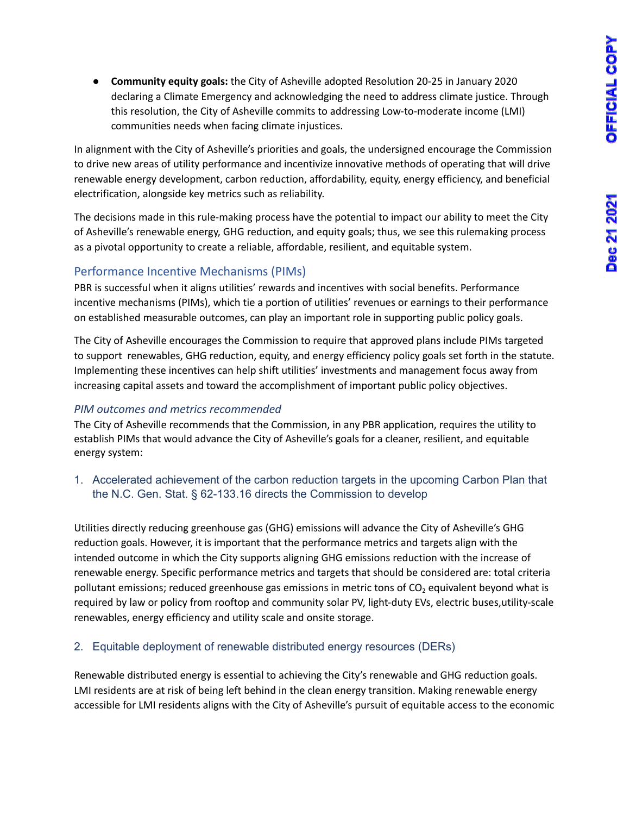**● Community equity goals:** the City of Asheville adopted Resolution 20-25 in January 2020 declaring a Climate Emergency and acknowledging the need to address climate justice. Through this resolution, the City of Asheville commits to addressing Low-to-moderate income (LMI) communities needs when facing climate injustices.

In alignment with the City of Asheville's priorities and goals, the undersigned encourage the Commission to drive new areas of utility performance and incentivize innovative methods of operating that will drive renewable energy development, carbon reduction, affordability, equity, energy efficiency, and beneficial electrification, alongside key metrics such as reliability.

The decisions made in this rule-making process have the potential to impact our ability to meet the City of Asheville's renewable energy, GHG reduction, and equity goals; thus, we see this rulemaking process as a pivotal opportunity to create a reliable, affordable, resilient, and equitable system.

# Performance Incentive Mechanisms (PIMs)

PBR is successful when it aligns utilities' rewards and incentives with social benefits. Performance incentive mechanisms (PIMs), which tie a portion of utilities' revenues or earnings to their performance on established measurable outcomes, can play an important role in supporting public policy goals.

The City of Asheville encourages the Commission to require that approved plans include PIMs targeted to support renewables, GHG reduction, equity, and energy efficiency policy goals set forth in the statute. Implementing these incentives can help shift utilities' investments and management focus away from increasing capital assets and toward the accomplishment of important public policy objectives.

# *PIM outcomes and metrics recommended*

The City of Asheville recommends that the Commission, in any PBR application, requires the utility to establish PIMs that would advance the City of Asheville's goals for a cleaner, resilient, and equitable energy system:

1. Accelerated achievement of the carbon reduction targets in the upcoming Carbon Plan that the N.C. Gen. Stat. § 62-133.16 directs the Commission to develop

Utilities directly reducing greenhouse gas (GHG) emissions will advance the City of Asheville's GHG reduction goals. However, it is important that the performance metrics and targets align with the intended outcome in which the City supports aligning GHG emissions reduction with the increase of renewable energy. Specific performance metrics and targets that should be considered are: total criteria pollutant emissions; reduced greenhouse gas emissions in metric tons of  $CO<sub>2</sub>$  equivalent beyond what is required by law or policy from rooftop and community solar PV, light-duty EVs, electric buses,utility-scale renewables, energy efficiency and utility scale and onsite storage.

# 2. Equitable deployment of renewable distributed energy resources (DERs)

Renewable distributed energy is essential to achieving the City's renewable and GHG reduction goals. LMI residents are at risk of being left behind in the clean energy transition. Making renewable energy accessible for LMI residents aligns with the City of Asheville's pursuit of equitable access to the economic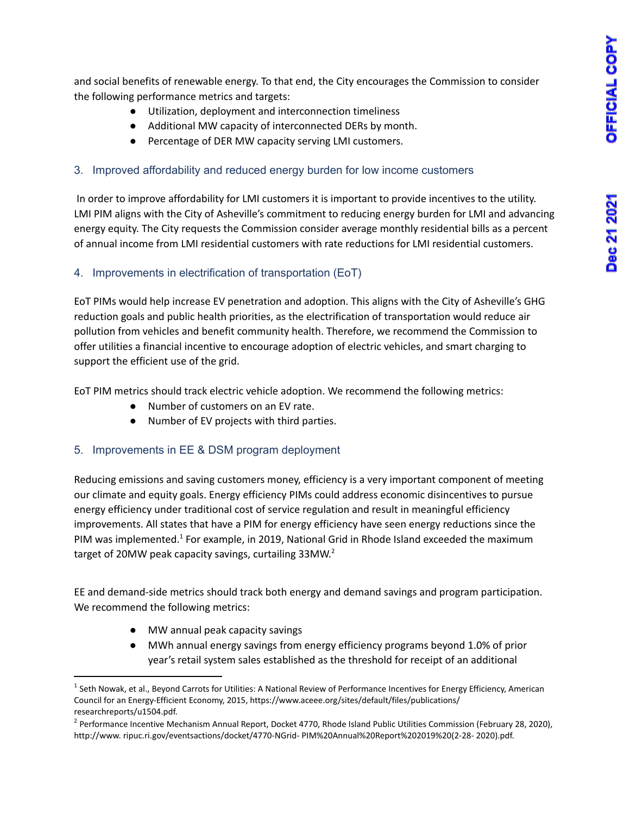and social benefits of renewable energy. To that end, the City encourages the Commission to consider the following performance metrics and targets:

- Utilization, deployment and interconnection timeliness
- Additional MW capacity of interconnected DERs by month.
- Percentage of DER MW capacity serving LMI customers.

#### 3. Improved affordability and reduced energy burden for low income customers

In order to improve affordability for LMI customers it is important to provide incentives to the utility. LMI PIM aligns with the City of Asheville's commitment to reducing energy burden for LMI and advancing energy equity. The City requests the Commission consider average monthly residential bills as a percent of annual income from LMI residential customers with rate reductions for LMI residential customers.

#### 4. Improvements in electrification of transportation (EoT)

EoT PIMs would help increase EV penetration and adoption. This aligns with the City of Asheville's GHG reduction goals and public health priorities, as the electrification of transportation would reduce air pollution from vehicles and benefit community health. Therefore, we recommend the Commission to offer utilities a financial incentive to encourage adoption of electric vehicles, and smart charging to support the efficient use of the grid.

EoT PIM metrics should track electric vehicle adoption. We recommend the following metrics:

- Number of customers on an EV rate.
- Number of EV projects with third parties.

### 5. Improvements in EE & DSM program deployment

Reducing emissions and saving customers money, efficiency is a very important component of meeting our climate and equity goals. Energy efficiency PIMs could address economic disincentives to pursue energy efficiency under traditional cost of service regulation and result in meaningful efficiency improvements. All states that have a PIM for energy efficiency have seen energy reductions since the PIM was implemented.<sup>1</sup> For example, in 2019, National Grid in Rhode Island exceeded the maximum target of 20MW peak capacity savings, curtailing 33MW.<sup>2</sup>

EE and demand-side metrics should track both energy and demand savings and program participation. We recommend the following metrics:

- MW annual peak capacity savings
- MWh annual energy savings from energy efficiency programs beyond 1.0% of prior year's retail system sales established as the threshold for receipt of an additional

 $1$  Seth Nowak, et al., Beyond Carrots for Utilities: A National Review of Performance Incentives for Energy Efficiency, American Council for an Energy-Efficient Economy, 2015, https://www.aceee.org/sites/default/files/publications/ researchreports/u1504.pdf.

<sup>&</sup>lt;sup>2</sup> Performance Incentive Mechanism Annual Report, Docket 4770, Rhode Island Public Utilities Commission (February 28, 2020), http://www. ripuc.ri.gov/eventsactions/docket/4770-NGrid- PIM%20Annual%20Report%202019%20(2-28- 2020).pdf.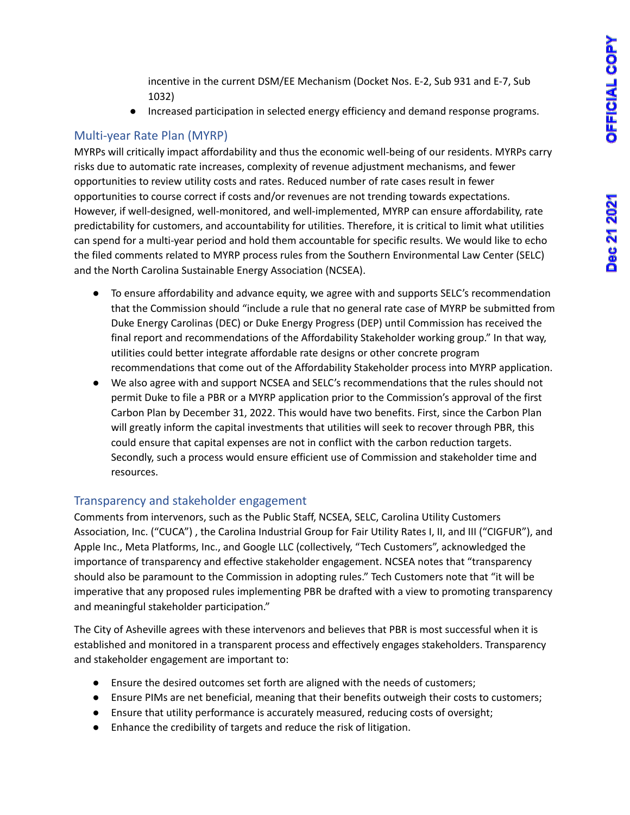incentive in the current DSM/EE Mechanism (Docket Nos. E-2, Sub 931 and E-7, Sub 1032)

● Increased participation in selected energy efficiency and demand response programs.

# Multi-year Rate Plan (MYRP)

MYRPs will critically impact affordability and thus the economic well-being of our residents. MYRPs carry risks due to automatic rate increases, complexity of revenue adjustment mechanisms, and fewer opportunities to review utility costs and rates. Reduced number of rate cases result in fewer opportunities to course correct if costs and/or revenues are not trending towards expectations. However, if well-designed, well-monitored, and well-implemented, MYRP can ensure affordability, rate predictability for customers, and accountability for utilities. Therefore, it is critical to limit what utilities can spend for a multi-year period and hold them accountable for specific results. We would like to echo the filed comments related to MYRP process rules from the Southern Environmental Law Center (SELC) and the North Carolina Sustainable Energy Association (NCSEA).

- To ensure affordability and advance equity, we agree with and supports SELC's recommendation that the Commission should "include a rule that no general rate case of MYRP be submitted from Duke Energy Carolinas (DEC) or Duke Energy Progress (DEP) until Commission has received the final report and recommendations of the Affordability Stakeholder working group." In that way, utilities could better integrate affordable rate designs or other concrete program recommendations that come out of the Affordability Stakeholder process into MYRP application.
- We also agree with and support NCSEA and SELC's recommendations that the rules should not permit Duke to file a PBR or a MYRP application prior to the Commission's approval of the first Carbon Plan by December 31, 2022. This would have two benefits. First, since the Carbon Plan will greatly inform the capital investments that utilities will seek to recover through PBR, this could ensure that capital expenses are not in conflict with the carbon reduction targets. Secondly, such a process would ensure efficient use of Commission and stakeholder time and resources.

# Transparency and stakeholder engagement

Comments from intervenors, such as the Public Staff, NCSEA, SELC, Carolina Utility Customers Association, Inc. ("CUCA") , the Carolina Industrial Group for Fair Utility Rates I, II, and III ("CIGFUR"), and Apple Inc., Meta Platforms, Inc., and Google LLC (collectively, "Tech Customers", acknowledged the importance of transparency and effective stakeholder engagement. NCSEA notes that "transparency should also be paramount to the Commission in adopting rules." Tech Customers note that "it will be imperative that any proposed rules implementing PBR be drafted with a view to promoting transparency and meaningful stakeholder participation."

The City of Asheville agrees with these intervenors and believes that PBR is most successful when it is established and monitored in a transparent process and effectively engages stakeholders. Transparency and stakeholder engagement are important to:

- Ensure the desired outcomes set forth are aligned with the needs of customers;
- Ensure PIMs are net beneficial, meaning that their benefits outweigh their costs to customers;
- Ensure that utility performance is accurately measured, reducing costs of oversight;
- Enhance the credibility of targets and reduce the risk of litigation.